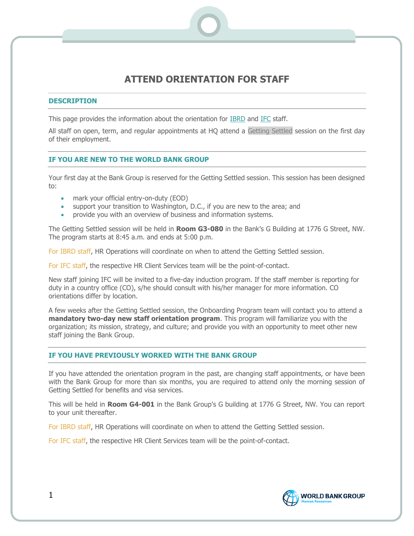# **ATTEND ORIENTATION FOR STAFF**

## **DESCRIPTION**

This page provides the information about the orientation for **IBRD** and **IFC** staff.

All staff on open, term, and regular appointments at HQ attend a Getting Settled session on the first day of their employment.

## **IF YOU ARE NEW TO THE WORLD BANK GROUP**

Your first day at the Bank Group is reserved for the Getting Settled session. This session has been designed to:

- mark your official entry-on-duty (EOD)
- support your transition to Washington, D.C., if you are new to the area; and
- provide you with an overview of business and information systems.

The Getting Settled session will be held in **Room G3-080** in the Bank's G Building at 1776 G Street, NW. The program starts at 8:45 a.m. and ends at 5:00 p.m.

For IBRD staff, HR Operations will coordinate on when to attend the Getting Settled session.

For IFC staff, the respective HR Client Services team will be the point-of-contact.

New staff joining IFC will be invited to a five-day induction program. If the staff member is reporting for duty in a country office (CO), s/he should consult with his/her manager for more information. CO orientations differ by location.

A few weeks after the Getting Settled session, the Onboarding Program team will contact you to attend a **mandatory two-day new staff orientation program**. This program will familiarize you with the organization; its mission, strategy, and culture; and provide you with an opportunity to meet other new staff joining the Bank Group.

# **IF YOU HAVE PREVIOUSLY WORKED WITH THE BANK GROUP**

If you have attended the orientation program in the past, are changing staff appointments, or have been with the Bank Group for more than six months, you are required to attend only the morning session of Getting Settled for benefits and visa services.

This will be held in **Room G4-001** in the Bank Group's G building at 1776 G Street, NW. You can report to your unit thereafter.

For IBRD staff, HR Operations will coordinate on when to attend the Getting Settled session.

For IFC staff, the respective HR Client Services team will be the point-of-contact.

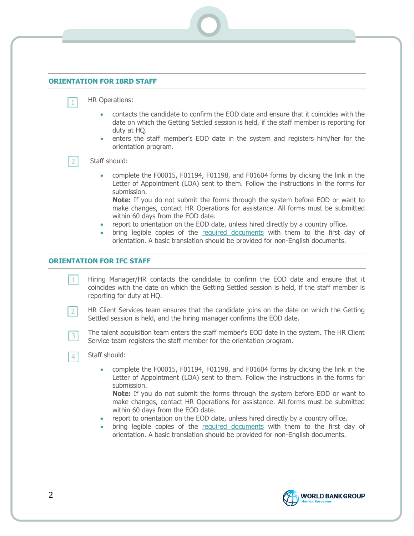#### <span id="page-1-0"></span>**ORIENTATION FOR IBRD STAFF**

 $\mathbf{1}$ 

 $\overline{2}$ 

- HR Operations:
	- contacts the candidate to confirm the EOD date and ensure that it coincides with the date on which the Getting Settled session is held, if the staff member is reporting for duty at HQ.
	- enters the staff member's EOD date in the system and registers him/her for the orientation program.

#### Staff should:

• complete the F00015, F01194, F01198, and F01604 forms by clicking the link in the Letter of Appointment (LOA) sent to them. Follow the instructions in the forms for submission.

**Note:** If you do not submit the forms through the system before EOD or want to make changes, contact HR Operations for assistance. All forms must be submitted within 60 days from the EOD date.

- report to orientation on the EOD date, unless hired directly by a country office.
- bring legible copies of the [required documents](#page-2-0) with them to the first day of orientation. A basic translation should be provided for non-English documents.

#### <span id="page-1-1"></span>**ORIENTATION FOR IFC STAFF**

 $1$ Hiring Manager/HR contacts the candidate to confirm the EOD date and ensure that it coincides with the date on which the Getting Settled session is held, if the staff member is reporting for duty at HQ.

- HR Client Services team ensures that the candidate joins on the date on which the Getting  $2<sup>1</sup>$ Settled session is held, and the hiring manager confirms the EOD date.
	- The talent acquisition team enters the staff member's EOD date in the system. The HR Client Service team registers the staff member for the orientation program.
	- Staff should:

3

 $4$ 

• complete the F00015, F01194, F01198, and F01604 forms by clicking the link in the Letter of Appointment (LOA) sent to them. Follow the instructions in the forms for submission.

**Note:** If you do not submit the forms through the system before EOD or want to make changes, contact HR Operations for assistance. All forms must be submitted within 60 days from the EOD date.

- report to orientation on the EOD date, unless hired directly by a country office.
- bring legible copies of the [required documents](#page-2-0) with them to the first day of orientation. A basic translation should be provided for non-English documents.